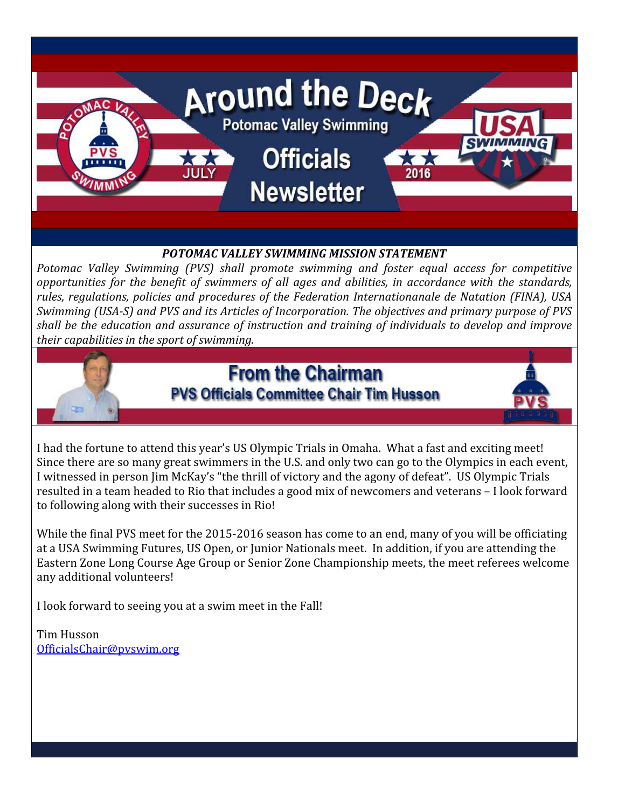

I had the fortune to attend this year's US Olympic Trials in Omaha. What a fast and exciting meet! Since there are so many great swimmers in the U.S. and only two can go to the Olympics in each event, I witnessed in person Jim McKay's "the thrill of victory and the agony of defeat". US Olympic Trials resulted in a team headed to Rio that includes a good mix of newcomers and veterans – I look forward to following along with their successes in Rio!

While the final PVS meet for the 2015-2016 season has come to an end, many of you will be officiating at a USA Swimming Futures, US Open, or Junior Nationals meet. In addition, if you are attending the Eastern Zone Long Course Age Group or Senior Zone Championship meets, the meet referees welcome any additional volunteers!

I look forward to seeing you at a swim meet in the Fall!

Tim Husson OfficialsChair@pvswim.org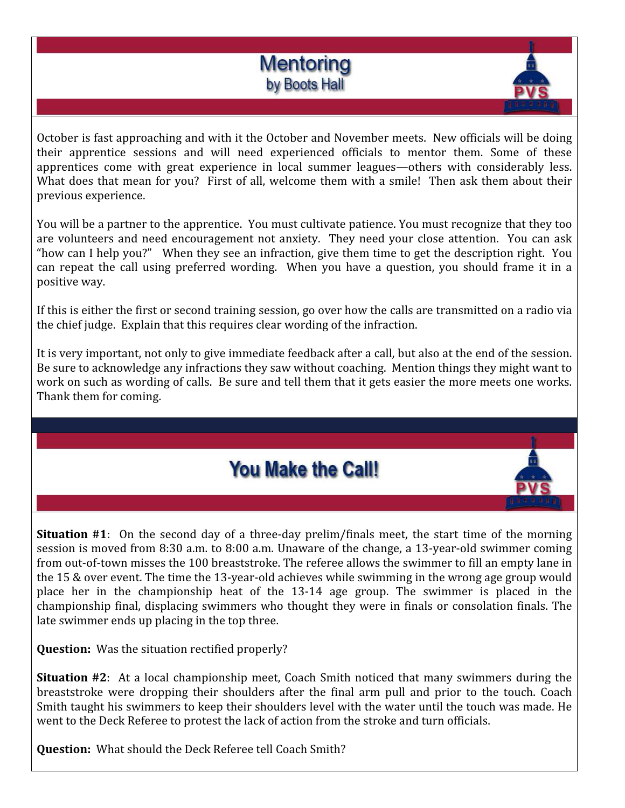



October is fast approaching and with it the October and November meets. New officials will be doing their apprentice sessions and will need experienced officials to mentor them. Some of these apprentices come with great experience in local summer leagues—others with considerably less. What does that mean for you? First of all, welcome them with a smile! Then ask them about their previous experience.

You will be a partner to the apprentice. You must cultivate patience. You must recognize that they too are volunteers and need encouragement not anxiety. They need your close attention. You can ask "how can I help you?" When they see an infraction, give them time to get the description right. You can repeat the call using preferred wording. When you have a question, you should frame it in a positive way.

If this is either the first or second training session, go over how the calls are transmitted on a radio via the chief judge. Explain that this requires clear wording of the infraction.

It is very important, not only to give immediate feedback after a call, but also at the end of the session. Be sure to acknowledge any infractions they saw without coaching. Mention things they might want to work on such as wording of calls. Be sure and tell them that it gets easier the more meets one works. Thank them for coming.

## **You Make the Call!**

Situation #1: On the second day of a three-day prelim/finals meet, the start time of the morning session is moved from 8:30 a.m. to 8:00 a.m. Unaware of the change, a 13-year-old swimmer coming from out-of-town misses the 100 breaststroke. The referee allows the swimmer to fill an empty lane in the 15 & over event. The time the 13-year-old achieves while swimming in the wrong age group would place her in the championship heat of the 13-14 age group. The swimmer is placed in the championship final, displacing swimmers who thought they were in finals or consolation finals. The late swimmer ends up placing in the top three.

Question: Was the situation rectified properly?

Situation #2: At a local championship meet, Coach Smith noticed that many swimmers during the breaststroke were dropping their shoulders after the final arm pull and prior to the touch. Coach Smith taught his swimmers to keep their shoulders level with the water until the touch was made. He went to the Deck Referee to protest the lack of action from the stroke and turn officials.

Question: What should the Deck Referee tell Coach Smith?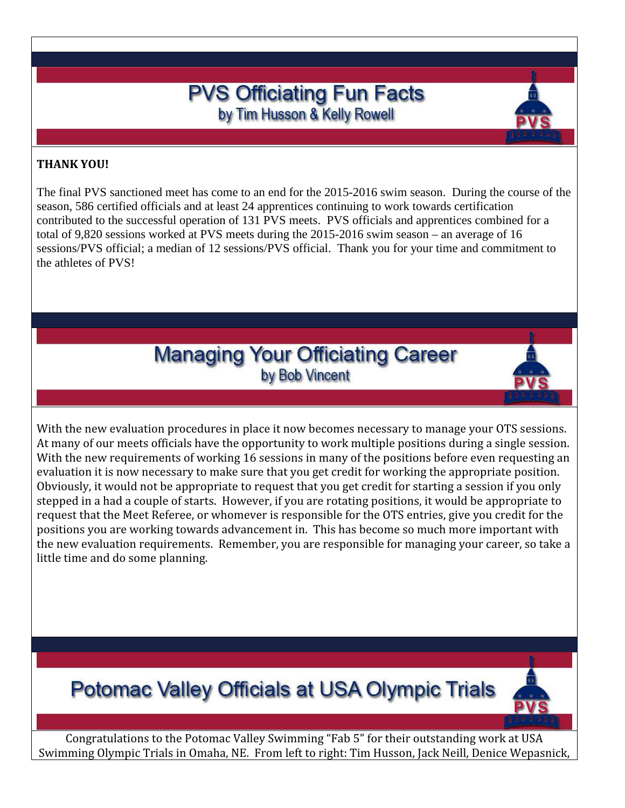### **PVS Officiating Fun Facts** by Tim Husson & Kelly Rowell

#### THANK YOU!

The final PVS sanctioned meet has come to an end for the 2015-2016 swim season. During the course of the season, 586 certified officials and at least 24 apprentices continuing to work towards certification contributed to the successful operation of 131 PVS meets. PVS officials and apprentices combined for a total of 9,820 sessions worked at PVS meets during the 2015-2016 swim season – an average of 16 sessions/PVS official; a median of 12 sessions/PVS official. Thank you for your time and commitment to the athletes of PVS!

## **Managing Your Officiating Career** by Bob Vincent

With the new evaluation procedures in place it now becomes necessary to manage your OTS sessions. At many of our meets officials have the opportunity to work multiple positions during a single session. With the new requirements of working 16 sessions in many of the positions before even requesting an evaluation it is now necessary to make sure that you get credit for working the appropriate position. Obviously, it would not be appropriate to request that you get credit for starting a session if you only stepped in a had a couple of starts. However, if you are rotating positions, it would be appropriate to request that the Meet Referee, or whomever is responsible for the OTS entries, give you credit for the positions you are working towards advancement in. This has become so much more important with the new evaluation requirements. Remember, you are responsible for managing your career, so take a little time and do some planning.

# **Potomac Valley Officials at USA Olympic Trials**



Congratulations to the Potomac Valley Swimming "Fab 5" for their outstanding work at USA Swimming Olympic Trials in Omaha, NE. From left to right: Tim Husson, Jack Neill, Denice Wepasnick,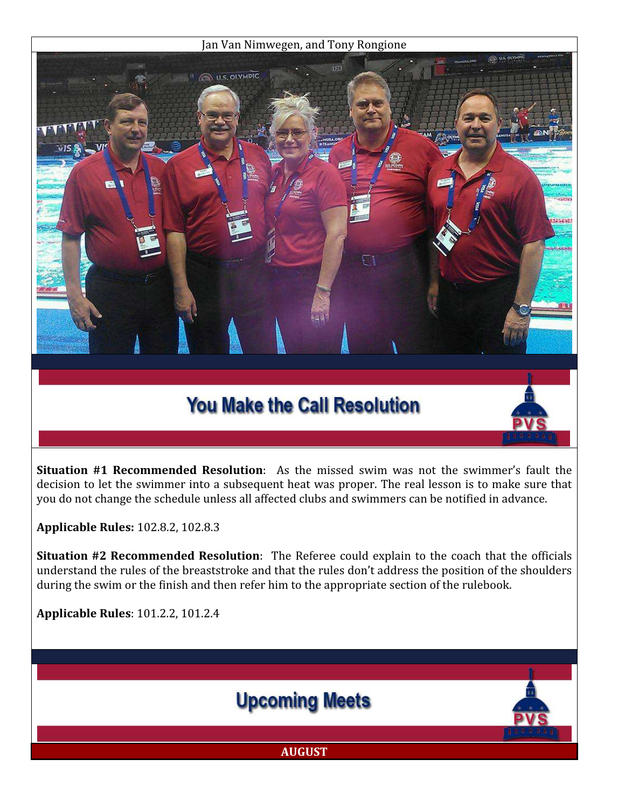#### Jan Van Nimwegen, and Tony Rongione



# **You Make the Call Resolution**

Situation #1 Recommended Resolution: As the missed swim was not the swimmer's fault the decision to let the swimmer into a subsequent heat was proper. The real lesson is to make sure that you do not change the schedule unless all affected clubs and swimmers can be notified in advance.

Applicable Rules: 102.8.2, 102.8.3

Situation #2 Recommended Resolution: The Referee could explain to the coach that the officials understand the rules of the breaststroke and that the rules don't address the position of the shoulders during the swim or the finish and then refer him to the appropriate section of the rulebook.

Applicable Rules: 101.2.2, 101.2.4